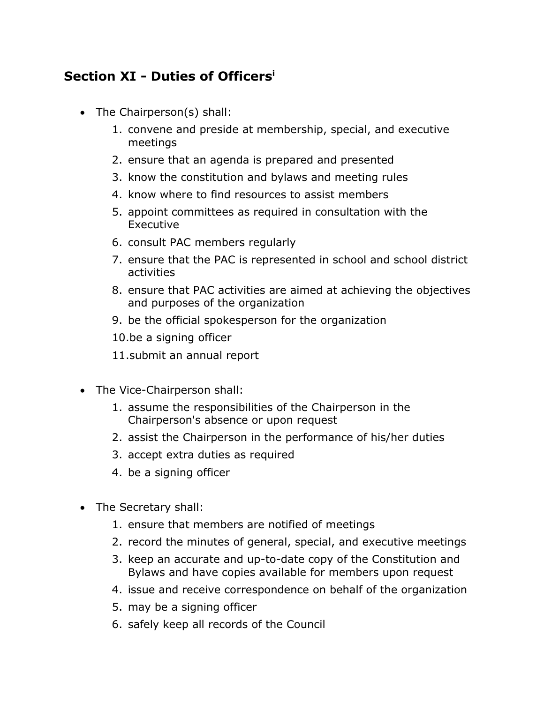## **Section XI - Duties of Officers<sup>i</sup>**

- The Chairperson(s) shall:
	- 1. convene and preside at membership, special, and executive meetings
	- 2. ensure that an agenda is prepared and presented
	- 3. know the constitution and bylaws and meeting rules
	- 4. know where to find resources to assist members
	- 5. appoint committees as required in consultation with the Executive
	- 6. consult PAC members regularly
	- 7. ensure that the PAC is represented in school and school district activities
	- 8. ensure that PAC activities are aimed at achieving the objectives and purposes of the organization
	- 9. be the official spokesperson for the organization
	- 10.be a signing officer
	- 11.submit an annual report
- The Vice-Chairperson shall:
	- 1. assume the responsibilities of the Chairperson in the Chairperson's absence or upon request
	- 2. assist the Chairperson in the performance of his/her duties
	- 3. accept extra duties as required
	- 4. be a signing officer
- The Secretary shall:
	- 1. ensure that members are notified of meetings
	- 2. record the minutes of general, special, and executive meetings
	- 3. keep an accurate and up-to-date copy of the Constitution and Bylaws and have copies available for members upon request
	- 4. issue and receive correspondence on behalf of the organization
	- 5. may be a signing officer
	- 6. safely keep all records of the Council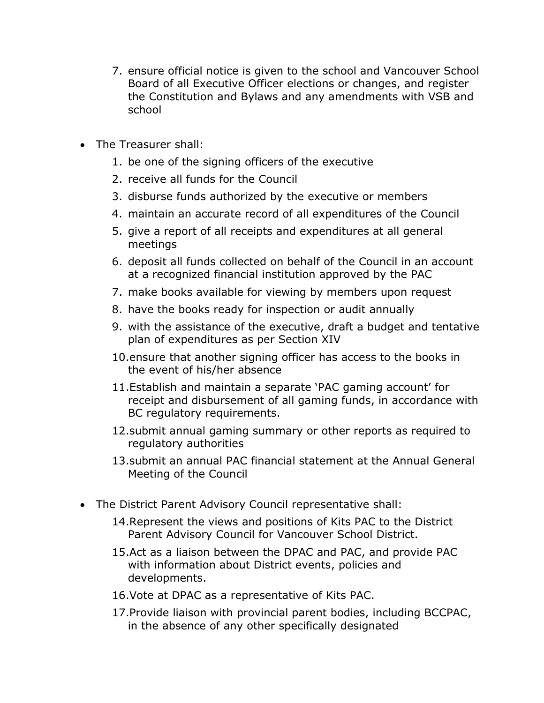- 7. ensure official notice is given to the school and Vancouver School Board of all Executive Officer elections or changes, and register the Constitution and Bylaws and any amendments with VSB and school
- The Treasurer shall:
	- 1. be one of the signing officers of the executive
	- 2. receive all funds for the Council
	- 3. disburse funds authorized by the executive or members
	- 4. maintain an accurate record of all expenditures of the Council
	- 5. give a report of all receipts and expenditures at all general meetings
	- 6. deposit all funds collected on behalf of the Council in an account at a recognized financial institution approved by the PAC
	- 7. make books available for viewing by members upon request
	- 8. have the books ready for inspection or audit annually
	- 9. with the assistance of the executive, draft a budget and tentative plan of expenditures as per Section XIV
	- 10.ensure that another signing officer has access to the books in the event of his/her absence
	- 11.Establish and maintain a separate 'PAC gaming account' for receipt and disbursement of all gaming funds, in accordance with BC regulatory requirements.
	- 12.submit annual gaming summary or other reports as required to regulatory authorities
	- 13.submit an annual PAC financial statement at the Annual General Meeting of the Council
- The District Parent Advisory Council representative shall:
	- 14.Represent the views and positions of Kits PAC to the District Parent Advisory Council for Vancouver School District.
	- 15.Act as a liaison between the DPAC and PAC, and provide PAC with information about District events, policies and developments.
	- 16.Vote at DPAC as a representative of Kits PAC.
	- 17.Provide liaison with provincial parent bodies, including BCCPAC, in the absence of any other specifically designated